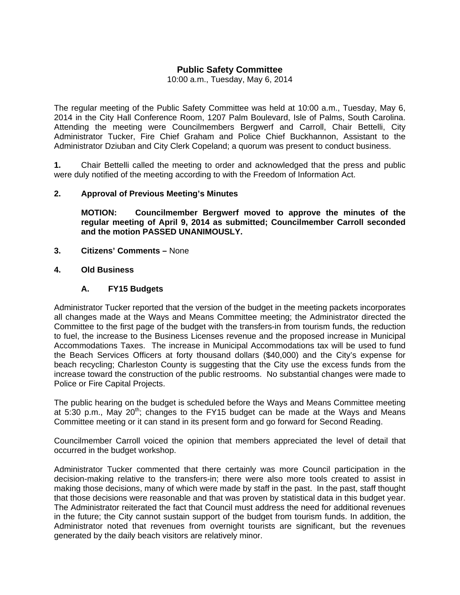# **Public Safety Committee**

10:00 a.m., Tuesday, May 6, 2014

The regular meeting of the Public Safety Committee was held at 10:00 a.m., Tuesday, May 6, 2014 in the City Hall Conference Room, 1207 Palm Boulevard, Isle of Palms, South Carolina. Attending the meeting were Councilmembers Bergwerf and Carroll, Chair Bettelli, City Administrator Tucker, Fire Chief Graham and Police Chief Buckhannon, Assistant to the Administrator Dziuban and City Clerk Copeland; a quorum was present to conduct business.

**1.** Chair Bettelli called the meeting to order and acknowledged that the press and public were duly notified of the meeting according to with the Freedom of Information Act.

#### **2. Approval of Previous Meeting's Minutes**

 **MOTION: Councilmember Bergwerf moved to approve the minutes of the regular meeting of April 9, 2014 as submitted; Councilmember Carroll seconded and the motion PASSED UNANIMOUSLY.** 

- **3. Citizens' Comments** None
- **4. Old Business**

## **A. FY15 Budgets**

Administrator Tucker reported that the version of the budget in the meeting packets incorporates all changes made at the Ways and Means Committee meeting; the Administrator directed the Committee to the first page of the budget with the transfers-in from tourism funds, the reduction to fuel, the increase to the Business Licenses revenue and the proposed increase in Municipal Accommodations Taxes. The increase in Municipal Accommodations tax will be used to fund the Beach Services Officers at forty thousand dollars (\$40,000) and the City's expense for beach recycling; Charleston County is suggesting that the City use the excess funds from the increase toward the construction of the public restrooms. No substantial changes were made to Police or Fire Capital Projects.

The public hearing on the budget is scheduled before the Ways and Means Committee meeting at 5:30 p.m., May  $20^{th}$ ; changes to the FY15 budget can be made at the Ways and Means Committee meeting or it can stand in its present form and go forward for Second Reading.

Councilmember Carroll voiced the opinion that members appreciated the level of detail that occurred in the budget workshop.

Administrator Tucker commented that there certainly was more Council participation in the decision-making relative to the transfers-in; there were also more tools created to assist in making those decisions, many of which were made by staff in the past. In the past, staff thought that those decisions were reasonable and that was proven by statistical data in this budget year. The Administrator reiterated the fact that Council must address the need for additional revenues in the future; the City cannot sustain support of the budget from tourism funds. In addition, the Administrator noted that revenues from overnight tourists are significant, but the revenues generated by the daily beach visitors are relatively minor.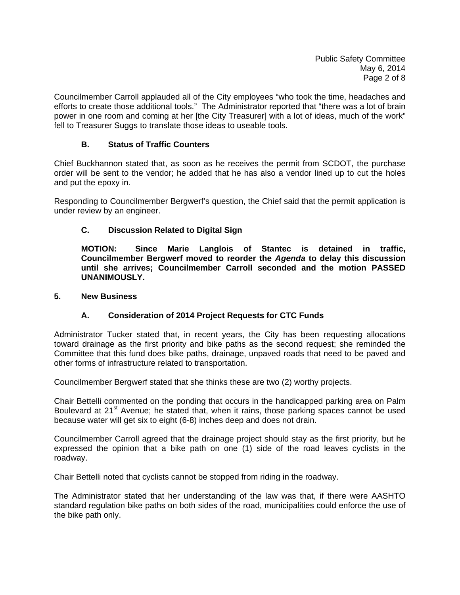Councilmember Carroll applauded all of the City employees "who took the time, headaches and efforts to create those additional tools." The Administrator reported that "there was a lot of brain power in one room and coming at her [the City Treasurer] with a lot of ideas, much of the work" fell to Treasurer Suggs to translate those ideas to useable tools.

## **B. Status of Traffic Counters**

Chief Buckhannon stated that, as soon as he receives the permit from SCDOT, the purchase order will be sent to the vendor; he added that he has also a vendor lined up to cut the holes and put the epoxy in.

Responding to Councilmember Bergwerf's question, the Chief said that the permit application is under review by an engineer.

## **C. Discussion Related to Digital Sign**

**MOTION: Since Marie Langlois of Stantec is detained in traffic, Councilmember Bergwerf moved to reorder the** *Agenda* **to delay this discussion until she arrives; Councilmember Carroll seconded and the motion PASSED UNANIMOUSLY.** 

#### **5. New Business**

## **A. Consideration of 2014 Project Requests for CTC Funds**

Administrator Tucker stated that, in recent years, the City has been requesting allocations toward drainage as the first priority and bike paths as the second request; she reminded the Committee that this fund does bike paths, drainage, unpaved roads that need to be paved and other forms of infrastructure related to transportation.

Councilmember Bergwerf stated that she thinks these are two (2) worthy projects.

Chair Bettelli commented on the ponding that occurs in the handicapped parking area on Palm Boulevard at 21<sup>st</sup> Avenue; he stated that, when it rains, those parking spaces cannot be used because water will get six to eight (6-8) inches deep and does not drain.

Councilmember Carroll agreed that the drainage project should stay as the first priority, but he expressed the opinion that a bike path on one (1) side of the road leaves cyclists in the roadway.

Chair Bettelli noted that cyclists cannot be stopped from riding in the roadway.

The Administrator stated that her understanding of the law was that, if there were AASHTO standard regulation bike paths on both sides of the road, municipalities could enforce the use of the bike path only.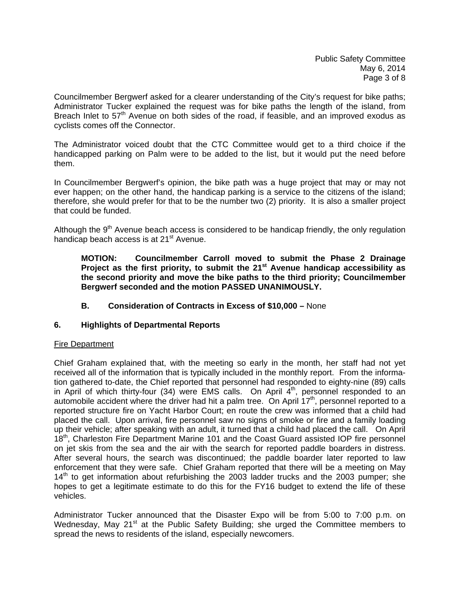Councilmember Bergwerf asked for a clearer understanding of the City's request for bike paths; Administrator Tucker explained the request was for bike paths the length of the island, from Breach Inlet to  $57<sup>th</sup>$  Avenue on both sides of the road, if feasible, and an improved exodus as cyclists comes off the Connector.

The Administrator voiced doubt that the CTC Committee would get to a third choice if the handicapped parking on Palm were to be added to the list, but it would put the need before them.

In Councilmember Bergwerf's opinion, the bike path was a huge project that may or may not ever happen; on the other hand, the handicap parking is a service to the citizens of the island; therefore, she would prefer for that to be the number two (2) priority. It is also a smaller project that could be funded.

Although the  $9<sup>th</sup>$  Avenue beach access is considered to be handicap friendly, the only regulation handicap beach access is at 21<sup>st</sup> Avenue.

**MOTION: Councilmember Carroll moved to submit the Phase 2 Drainage**  Project as the first priority, to submit the 21<sup>st</sup> Avenue handicap accessibility as  **the second priority and move the bike paths to the third priority; Councilmember Bergwerf seconded and the motion PASSED UNANIMOUSLY.** 

 **B. Consideration of Contracts in Excess of \$10,000 –** None

## **6. Highlights of Departmental Reports**

## Fire Department

Chief Graham explained that, with the meeting so early in the month, her staff had not yet received all of the information that is typically included in the monthly report. From the information gathered to-date, the Chief reported that personnel had responded to eighty-nine (89) calls in April of which thirty-four (34) were EMS calls. On April  $4<sup>th</sup>$ , personnel responded to an automobile accident where the driver had hit a palm tree. On April  $17<sup>th</sup>$ , personnel reported to a reported structure fire on Yacht Harbor Court; en route the crew was informed that a child had placed the call. Upon arrival, fire personnel saw no signs of smoke or fire and a family loading up their vehicle; after speaking with an adult, it turned that a child had placed the call. On April 18<sup>th</sup>, Charleston Fire Department Marine 101 and the Coast Guard assisted IOP fire personnel on jet skis from the sea and the air with the search for reported paddle boarders in distress. After several hours, the search was discontinued; the paddle boarder later reported to law enforcement that they were safe. Chief Graham reported that there will be a meeting on May 14<sup>th</sup> to get information about refurbishing the 2003 ladder trucks and the 2003 pumper; she hopes to get a legitimate estimate to do this for the FY16 budget to extend the life of these vehicles.

Administrator Tucker announced that the Disaster Expo will be from 5:00 to 7:00 p.m. on Wednesday, May 21<sup>st</sup> at the Public Safety Building; she urged the Committee members to spread the news to residents of the island, especially newcomers.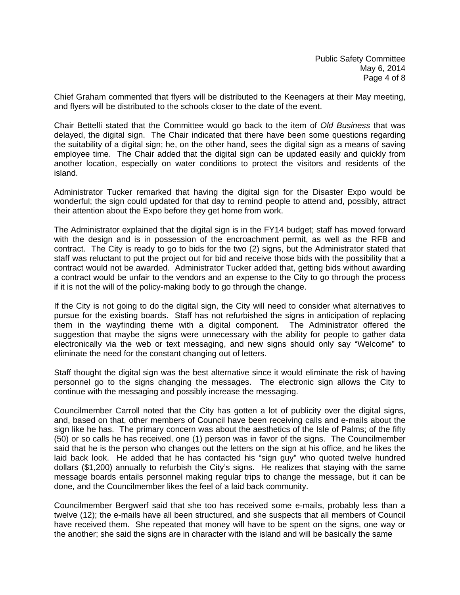Chief Graham commented that flyers will be distributed to the Keenagers at their May meeting, and flyers will be distributed to the schools closer to the date of the event.

Chair Bettelli stated that the Committee would go back to the item of *Old Business* that was delayed, the digital sign. The Chair indicated that there have been some questions regarding the suitability of a digital sign; he, on the other hand, sees the digital sign as a means of saving employee time. The Chair added that the digital sign can be updated easily and quickly from another location, especially on water conditions to protect the visitors and residents of the island.

Administrator Tucker remarked that having the digital sign for the Disaster Expo would be wonderful; the sign could updated for that day to remind people to attend and, possibly, attract their attention about the Expo before they get home from work.

The Administrator explained that the digital sign is in the FY14 budget; staff has moved forward with the design and is in possession of the encroachment permit, as well as the RFB and contract. The City is ready to go to bids for the two (2) signs, but the Administrator stated that staff was reluctant to put the project out for bid and receive those bids with the possibility that a contract would not be awarded. Administrator Tucker added that, getting bids without awarding a contract would be unfair to the vendors and an expense to the City to go through the process if it is not the will of the policy-making body to go through the change.

If the City is not going to do the digital sign, the City will need to consider what alternatives to pursue for the existing boards. Staff has not refurbished the signs in anticipation of replacing them in the wayfinding theme with a digital component. The Administrator offered the suggestion that maybe the signs were unnecessary with the ability for people to gather data electronically via the web or text messaging, and new signs should only say "Welcome" to eliminate the need for the constant changing out of letters.

Staff thought the digital sign was the best alternative since it would eliminate the risk of having personnel go to the signs changing the messages. The electronic sign allows the City to continue with the messaging and possibly increase the messaging.

Councilmember Carroll noted that the City has gotten a lot of publicity over the digital signs, and, based on that, other members of Council have been receiving calls and e-mails about the sign like he has. The primary concern was about the aesthetics of the Isle of Palms; of the fifty (50) or so calls he has received, one (1) person was in favor of the signs. The Councilmember said that he is the person who changes out the letters on the sign at his office, and he likes the laid back look. He added that he has contacted his "sign guy" who quoted twelve hundred dollars (\$1,200) annually to refurbish the City's signs. He realizes that staying with the same message boards entails personnel making regular trips to change the message, but it can be done, and the Councilmember likes the feel of a laid back community.

Councilmember Bergwerf said that she too has received some e-mails, probably less than a twelve (12); the e-mails have all been structured, and she suspects that all members of Council have received them. She repeated that money will have to be spent on the signs, one way or the another; she said the signs are in character with the island and will be basically the same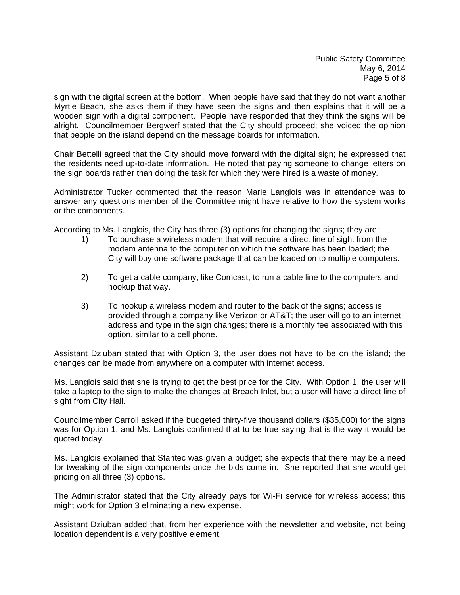sign with the digital screen at the bottom. When people have said that they do not want another Myrtle Beach, she asks them if they have seen the signs and then explains that it will be a wooden sign with a digital component. People have responded that they think the signs will be alright. Councilmember Bergwerf stated that the City should proceed; she voiced the opinion that people on the island depend on the message boards for information.

Chair Bettelli agreed that the City should move forward with the digital sign; he expressed that the residents need up-to-date information. He noted that paying someone to change letters on the sign boards rather than doing the task for which they were hired is a waste of money.

Administrator Tucker commented that the reason Marie Langlois was in attendance was to answer any questions member of the Committee might have relative to how the system works or the components.

According to Ms. Langlois, the City has three (3) options for changing the signs; they are:

- 1) To purchase a wireless modem that will require a direct line of sight from the modem antenna to the computer on which the software has been loaded; the City will buy one software package that can be loaded on to multiple computers.
- 2) To get a cable company, like Comcast, to run a cable line to the computers and hookup that way.
- 3) To hookup a wireless modem and router to the back of the signs; access is provided through a company like Verizon or AT&T; the user will go to an internet address and type in the sign changes; there is a monthly fee associated with this option, similar to a cell phone.

Assistant Dziuban stated that with Option 3, the user does not have to be on the island; the changes can be made from anywhere on a computer with internet access.

Ms. Langlois said that she is trying to get the best price for the City. With Option 1, the user will take a laptop to the sign to make the changes at Breach Inlet, but a user will have a direct line of sight from City Hall.

Councilmember Carroll asked if the budgeted thirty-five thousand dollars (\$35,000) for the signs was for Option 1, and Ms. Langlois confirmed that to be true saying that is the way it would be quoted today.

Ms. Langlois explained that Stantec was given a budget; she expects that there may be a need for tweaking of the sign components once the bids come in. She reported that she would get pricing on all three (3) options.

The Administrator stated that the City already pays for Wi-Fi service for wireless access; this might work for Option 3 eliminating a new expense.

Assistant Dziuban added that, from her experience with the newsletter and website, not being location dependent is a very positive element.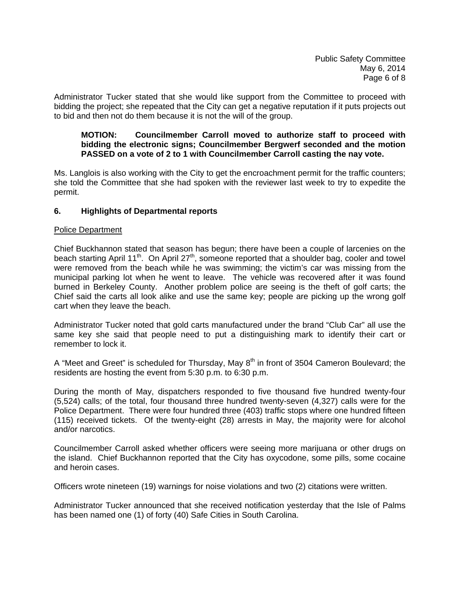Administrator Tucker stated that she would like support from the Committee to proceed with bidding the project; she repeated that the City can get a negative reputation if it puts projects out to bid and then not do them because it is not the will of the group.

#### **MOTION: Councilmember Carroll moved to authorize staff to proceed with bidding the electronic signs; Councilmember Bergwerf seconded and the motion PASSED on a vote of 2 to 1 with Councilmember Carroll casting the nay vote.**

Ms. Langlois is also working with the City to get the encroachment permit for the traffic counters; she told the Committee that she had spoken with the reviewer last week to try to expedite the permit.

## **6. Highlights of Departmental reports**

#### Police Department

Chief Buckhannon stated that season has begun; there have been a couple of larcenies on the beach starting April 11<sup>th</sup>. On April 27<sup>th</sup>, someone reported that a shoulder bag, cooler and towel were removed from the beach while he was swimming; the victim's car was missing from the municipal parking lot when he went to leave. The vehicle was recovered after it was found burned in Berkeley County. Another problem police are seeing is the theft of golf carts; the Chief said the carts all look alike and use the same key; people are picking up the wrong golf cart when they leave the beach.

Administrator Tucker noted that gold carts manufactured under the brand "Club Car" all use the same key she said that people need to put a distinguishing mark to identify their cart or remember to lock it.

A "Meet and Greet" is scheduled for Thursday, May  $8<sup>th</sup>$  in front of 3504 Cameron Boulevard; the residents are hosting the event from 5:30 p.m. to 6:30 p.m.

During the month of May, dispatchers responded to five thousand five hundred twenty-four (5,524) calls; of the total, four thousand three hundred twenty-seven (4,327) calls were for the Police Department. There were four hundred three (403) traffic stops where one hundred fifteen (115) received tickets. Of the twenty-eight (28) arrests in May, the majority were for alcohol and/or narcotics.

Councilmember Carroll asked whether officers were seeing more marijuana or other drugs on the island. Chief Buckhannon reported that the City has oxycodone, some pills, some cocaine and heroin cases.

Officers wrote nineteen (19) warnings for noise violations and two (2) citations were written.

Administrator Tucker announced that she received notification yesterday that the Isle of Palms has been named one (1) of forty (40) Safe Cities in South Carolina.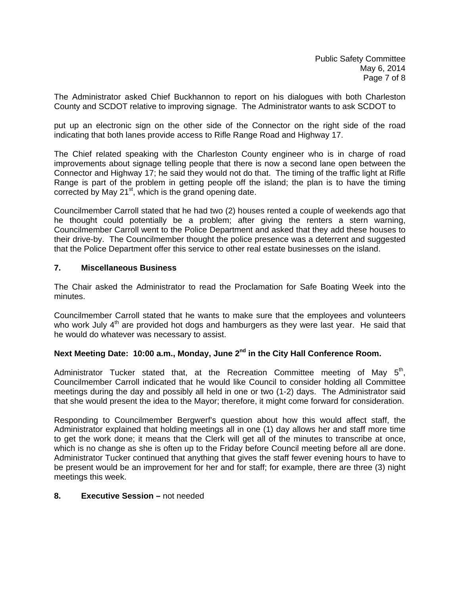The Administrator asked Chief Buckhannon to report on his dialogues with both Charleston County and SCDOT relative to improving signage. The Administrator wants to ask SCDOT to

put up an electronic sign on the other side of the Connector on the right side of the road indicating that both lanes provide access to Rifle Range Road and Highway 17.

The Chief related speaking with the Charleston County engineer who is in charge of road improvements about signage telling people that there is now a second lane open between the Connector and Highway 17; he said they would not do that. The timing of the traffic light at Rifle Range is part of the problem in getting people off the island; the plan is to have the timing corrected by May  $21^{st}$ , which is the grand opening date.

Councilmember Carroll stated that he had two (2) houses rented a couple of weekends ago that he thought could potentially be a problem; after giving the renters a stern warning, Councilmember Carroll went to the Police Department and asked that they add these houses to their drive-by. The Councilmember thought the police presence was a deterrent and suggested that the Police Department offer this service to other real estate businesses on the island.

#### **7. Miscellaneous Business**

The Chair asked the Administrator to read the Proclamation for Safe Boating Week into the minutes.

Councilmember Carroll stated that he wants to make sure that the employees and volunteers who work July  $4<sup>th</sup>$  are provided hot dogs and hamburgers as they were last year. He said that he would do whatever was necessary to assist.

# Next Meeting Date: 10:00 a.m., Monday, June 2<sup>nd</sup> in the City Hall Conference Room.

Administrator Tucker stated that, at the Recreation Committee meeting of May  $5<sup>th</sup>$ , Councilmember Carroll indicated that he would like Council to consider holding all Committee meetings during the day and possibly all held in one or two (1-2) days. The Administrator said that she would present the idea to the Mayor; therefore, it might come forward for consideration.

Responding to Councilmember Bergwerf's question about how this would affect staff, the Administrator explained that holding meetings all in one (1) day allows her and staff more time to get the work done; it means that the Clerk will get all of the minutes to transcribe at once, which is no change as she is often up to the Friday before Council meeting before all are done. Administrator Tucker continued that anything that gives the staff fewer evening hours to have to be present would be an improvement for her and for staff; for example, there are three (3) night meetings this week.

#### **8. Executive Session –** not needed